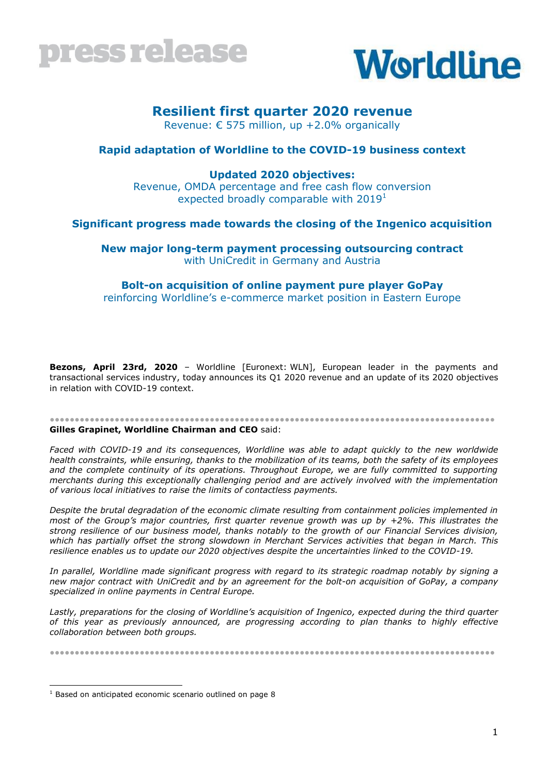



## **Resilient first quarter 2020 revenue**

Revenue: € 575 million, up +2.0% organically

### **Rapid adaptation of Worldline to the COVID-19 business context**

### **Updated 2020 objectives:**

Revenue, OMDA percentage and free cash flow conversion expected broadly comparable with  $2019<sup>1</sup>$ 

### **Significant progress made towards the closing of the Ingenico acquisition**

**New major long-term payment processing outsourcing contract**  with UniCredit in Germany and Austria

### **Bolt-on acquisition of online payment pure player GoPay**

reinforcing Worldline's e-commerce market position in Eastern Europe

**Bezons, April 23rd, 2020** – Worldline [Euronext: WLN], European leader in the payments and transactional services industry, today announces its Q1 2020 revenue and an update of its 2020 objectives in relation with COVID-19 context.

#### ●●●●●●●●●●●●●●●●●●●●●●●●●●●●●●●●●●●●●●●●●●●●●●●●●●●●●●●●●●●●●●●●●●●●●●●●●●●●●●●●●●●●●●●●● **Gilles Grapinet, Worldline Chairman and CEO** said:

*Faced with COVID-19 and its consequences, Worldline was able to adapt quickly to the new worldwide health constraints, while ensuring, thanks to the mobilization of its teams, both the safety of its employees*  and the complete continuity of its operations. Throughout Europe, we are fully committed to supporting *merchants during this exceptionally challenging period and are actively involved with the implementation of various local initiatives to raise the limits of contactless payments.*

*Despite the brutal degradation of the economic climate resulting from containment policies implemented in most of the Group's major countries, first quarter revenue growth was up by +2%. This illustrates the strong resilience of our business model, thanks notably to the growth of our Financial Services division, which has partially offset the strong slowdown in Merchant Services activities that began in March. This resilience enables us to update our 2020 objectives despite the uncertainties linked to the COVID-19.*

*In parallel, Worldline made significant progress with regard to its strategic roadmap notably by signing a new major contract with UniCredit and by an agreement for the bolt-on acquisition of GoPay, a company specialized in online payments in Central Europe.*

*Lastly, preparations for the closing of Worldline's acquisition of Ingenico, expected during the third quarter of this year as previously announced, are progressing according to plan thanks to highly effective collaboration between both groups.*

●●●●●●●●●●●●●●●●●●●●●●●●●●●●●●●●●●●●●●●●●●●●●●●●●●●●●●●●●●●●●●●●●●●●●●●●●●●●●●●●●●●●●●●●●

<sup>-</sup> $1$  Based on anticipated economic scenario outlined on page 8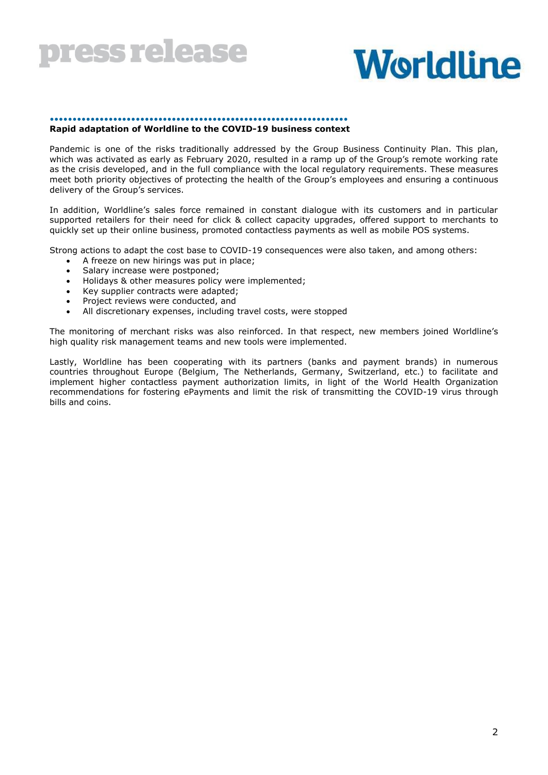

# **Worldline**

#### •••••••••••••••••••••••••••••••••••••••••••••••••••••••••••••••••• **Rapid adaptation of Worldline to the COVID-19 business context**

Pandemic is one of the risks traditionally addressed by the Group Business Continuity Plan. This plan, which was activated as early as February 2020, resulted in a ramp up of the Group's remote working rate as the crisis developed, and in the full compliance with the local regulatory requirements. These measures meet both priority objectives of protecting the health of the Group's employees and ensuring a continuous delivery of the Group's services.

In addition, Worldline's sales force remained in constant dialogue with its customers and in particular supported retailers for their need for click & collect capacity upgrades, offered support to merchants to quickly set up their online business, promoted contactless payments as well as mobile POS systems.

Strong actions to adapt the cost base to COVID-19 consequences were also taken, and among others:

- A freeze on new hirings was put in place;
- Salary increase were postponed;
- Holidays & other measures policy were implemented;
- Key supplier contracts were adapted;
- Project reviews were conducted, and
- All discretionary expenses, including travel costs, were stopped

The monitoring of merchant risks was also reinforced. In that respect, new members joined Worldline's high quality risk management teams and new tools were implemented.

Lastly, Worldline has been cooperating with its partners (banks and payment brands) in numerous countries throughout Europe (Belgium, The Netherlands, Germany, Switzerland, etc.) to facilitate and implement higher contactless payment authorization limits, in light of the World Health Organization recommendations for fostering ePayments and limit the risk of transmitting the COVID-19 virus through bills and coins.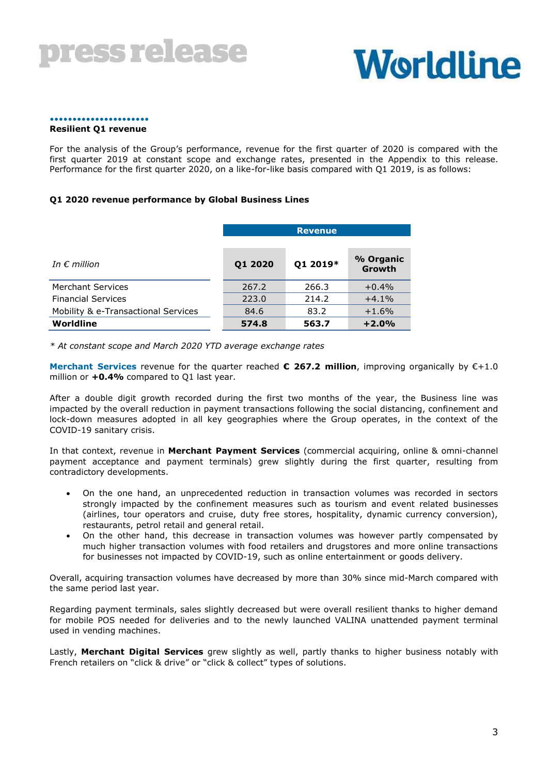# **Worldline**

### ••••••••••••••••••••••

#### **Resilient Q1 revenue**

For the analysis of the Group's performance, revenue for the first quarter of 2020 is compared with the first quarter 2019 at constant scope and exchange rates, presented in the Appendix to this release. Performance for the first quarter 2020, on a like-for-like basis compared with Q1 2019, is as follows:

#### **Q1 2020 revenue performance by Global Business Lines**

|                                     | <b>Revenue</b> |          |                     |  |
|-------------------------------------|----------------|----------|---------------------|--|
| In $\epsilon$ million               | Q1 2020        | Q1 2019* | % Organic<br>Growth |  |
| <b>Merchant Services</b>            | 267.2          | 266.3    | $+0.4%$             |  |
| <b>Financial Services</b>           | 223.0          | 214.2    | $+4.1%$             |  |
| Mobility & e-Transactional Services | 84.6           | 83.2     | $+1.6%$             |  |
| Worldline                           | 574.8          | 563.7    | $+2.0%$             |  |

*\* At constant scope and March 2020 YTD average exchange rates*

**Merchant Services** revenue for the quarter reached **€ 267.2 million**, improving organically by €+1.0 million or **+0.4%** compared to Q1 last year.

After a double digit growth recorded during the first two months of the year, the Business line was impacted by the overall reduction in payment transactions following the social distancing, confinement and lock-down measures adopted in all key geographies where the Group operates, in the context of the COVID-19 sanitary crisis.

In that context, revenue in **Merchant Payment Services** (commercial acquiring, online & omni-channel payment acceptance and payment terminals) grew slightly during the first quarter, resulting from contradictory developments.

- On the one hand, an unprecedented reduction in transaction volumes was recorded in sectors strongly impacted by the confinement measures such as tourism and event related businesses (airlines, tour operators and cruise, duty free stores, hospitality, dynamic currency conversion), restaurants, petrol retail and general retail.
- On the other hand, this decrease in transaction volumes was however partly compensated by much higher transaction volumes with food retailers and drugstores and more online transactions for businesses not impacted by COVID-19, such as online entertainment or goods delivery.

Overall, acquiring transaction volumes have decreased by more than 30% since mid-March compared with the same period last year.

Regarding payment terminals, sales slightly decreased but were overall resilient thanks to higher demand for mobile POS needed for deliveries and to the newly launched VALINA unattended payment terminal used in vending machines.

Lastly, **Merchant Digital Services** grew slightly as well, partly thanks to higher business notably with French retailers on "click & drive" or "click & collect" types of solutions.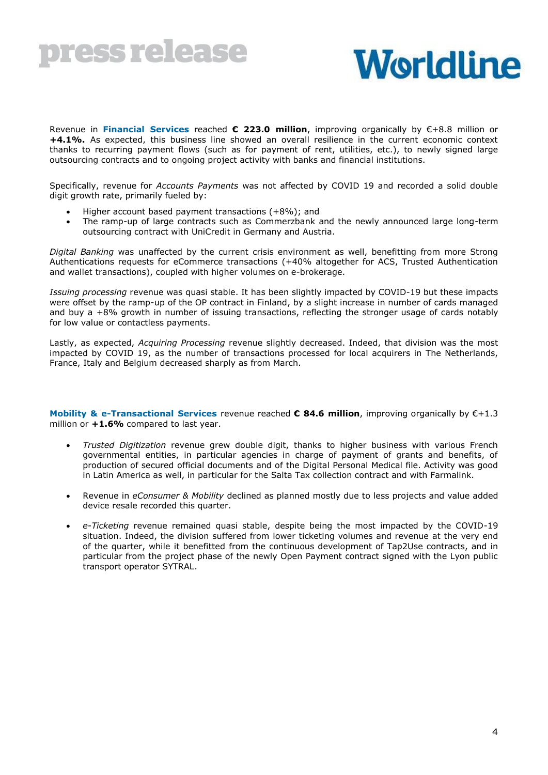

Revenue in **Financial Services** reached **€ 223.0 million**, improving organically by €+8.8 million or **+4.1%.** As expected, this business line showed an overall resilience in the current economic context thanks to recurring payment flows (such as for payment of rent, utilities, etc.), to newly signed large outsourcing contracts and to ongoing project activity with banks and financial institutions.

Specifically, revenue for *Accounts Payments* was not affected by COVID 19 and recorded a solid double digit growth rate, primarily fueled by:

- Higher account based payment transactions (+8%); and
- The ramp-up of large contracts such as Commerzbank and the newly announced large long-term outsourcing contract with UniCredit in Germany and Austria.

*Digital Banking* was unaffected by the current crisis environment as well, benefitting from more Strong Authentications requests for eCommerce transactions (+40% altogether for ACS, Trusted Authentication and wallet transactions), coupled with higher volumes on e-brokerage.

*Issuing processing* revenue was quasi stable. It has been slightly impacted by COVID-19 but these impacts were offset by the ramp-up of the OP contract in Finland, by a slight increase in number of cards managed and buy a +8% growth in number of issuing transactions, reflecting the stronger usage of cards notably for low value or contactless payments.

Lastly, as expected, *Acquiring Processing* revenue slightly decreased. Indeed, that division was the most impacted by COVID 19, as the number of transactions processed for local acquirers in The Netherlands, France, Italy and Belgium decreased sharply as from March.

**Mobility & e-Transactional Services** revenue reached **€ 84.6 million**, improving organically by €+1.3 million or **+1.6%** compared to last year.

- *Trusted Digitization* revenue grew double digit, thanks to higher business with various French governmental entities, in particular agencies in charge of payment of grants and benefits, of production of secured official documents and of the Digital Personal Medical file. Activity was good in Latin America as well, in particular for the Salta Tax collection contract and with Farmalink.
- Revenue in *eConsumer & Mobility* declined as planned mostly due to less projects and value added device resale recorded this quarter.
- *e-Ticketing* revenue remained quasi stable, despite being the most impacted by the COVID-19 situation. Indeed, the division suffered from lower ticketing volumes and revenue at the very end of the quarter, while it benefitted from the continuous development of Tap2Use contracts, and in particular from the project phase of the newly Open Payment contract signed with the Lyon public transport operator SYTRAL.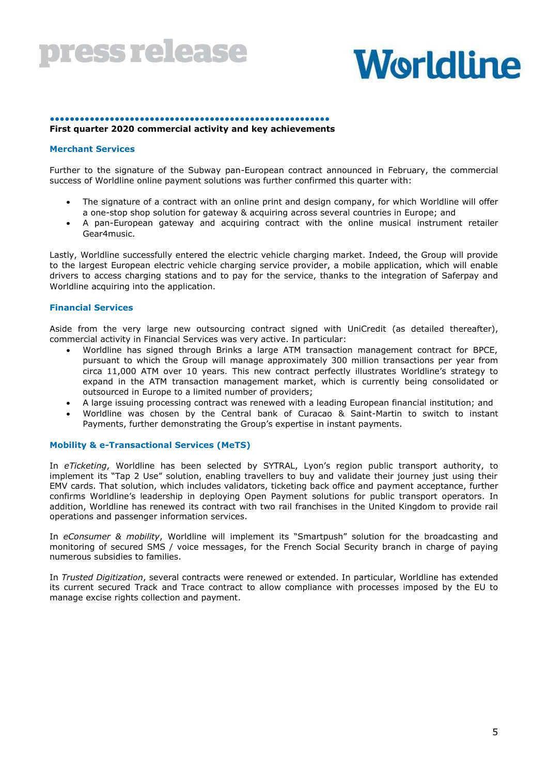# **Worldline**

#### ●●●●●●●●●●●●●●●●●●●●●●●●●●●●●●●●●●●●●●●●●●●●●●●●●●●●●●●● **First quarter 2020 commercial activity and key achievements**

#### **Merchant Services**

Further to the signature of the Subway pan-European contract announced in February, the commercial success of Worldline online payment solutions was further confirmed this quarter with:

- The signature of a contract with an online print and design company, for which Worldline will offer a one-stop shop solution for gateway & acquiring across several countries in Europe; and
- A pan-European gateway and acquiring contract with the online musical instrument retailer Gear4music.

Lastly, Worldline successfully entered the electric vehicle charging market. Indeed, the Group will provide to the largest European electric vehicle charging service provider, a mobile application, which will enable drivers to access charging stations and to pay for the service, thanks to the integration of Saferpay and Worldline acquiring into the application.

#### **Financial Services**

Aside from the very large new outsourcing contract signed with UniCredit (as detailed thereafter), commercial activity in Financial Services was very active. In particular:

- Worldline has signed through Brinks a large ATM transaction management contract for BPCE, pursuant to which the Group will manage approximately 300 million transactions per year from circa 11,000 ATM over 10 years. This new contract perfectly illustrates Worldline's strategy to expand in the ATM transaction management market, which is currently being consolidated or outsourced in Europe to a limited number of providers;
- A large issuing processing contract was renewed with a leading European financial institution; and
- Worldline was chosen by the Central bank of Curacao & Saint-Martin to switch to instant Payments, further demonstrating the Group's expertise in instant payments.

#### **Mobility & e-Transactional Services (MeTS)**

In *eTicketing*, Worldline has been selected by SYTRAL, Lyon's region public transport authority, to implement its "Tap 2 Use" solution, enabling travellers to buy and validate their journey just using their EMV cards. That solution, which includes validators, ticketing back office and payment acceptance, further confirms Worldline's leadership in deploying Open Payment solutions for public transport operators. In addition, Worldline has renewed its contract with two rail franchises in the United Kingdom to provide rail operations and passenger information services.

In *eConsumer & mobility*, Worldline will implement its "Smartpush" solution for the broadcasting and monitoring of secured SMS / voice messages, for the French Social Security branch in charge of paying numerous subsidies to families.

In *Trusted Digitization*, several contracts were renewed or extended. In particular, Worldline has extended its current secured Track and Trace contract to allow compliance with processes imposed by the EU to manage excise rights collection and payment.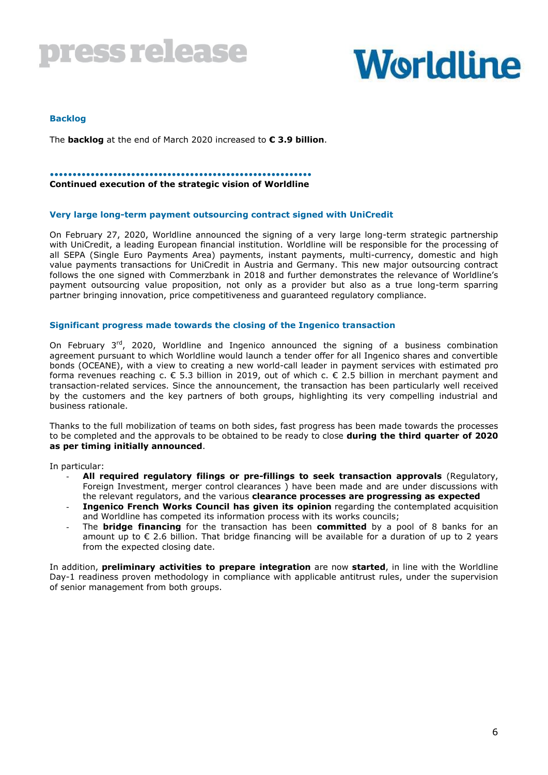

#### **Backlog**

The **backlog** at the end of March 2020 increased to **€ 3.9 billion**.

#### ••••••••••••••••••••••••••••••••••••••••••••••••••••••••••

#### **Continued execution of the strategic vision of Worldline**

#### **Very large long-term payment outsourcing contract signed with UniCredit**

On February 27, 2020, Worldline announced the signing of a very large long-term strategic partnership with UniCredit, a leading European financial institution. Worldline will be responsible for the processing of all SEPA (Single Euro Payments Area) payments, instant payments, multi-currency, domestic and high value payments transactions for UniCredit in Austria and Germany. This new major outsourcing contract follows the one signed with Commerzbank in 2018 and further demonstrates the relevance of Worldline's payment outsourcing value proposition, not only as a provider but also as a true long-term sparring partner bringing innovation, price competitiveness and guaranteed regulatory compliance.

#### **Significant progress made towards the closing of the Ingenico transaction**

On February 3<sup>rd</sup>, 2020, Worldline and Ingenico announced the signing of a business combination agreement pursuant to which Worldline would launch a tender offer for all Ingenico shares and convertible bonds (OCEANE), with a view to creating a new world-call leader in payment services with estimated pro forma revenues reaching c.  $\epsilon$  5.3 billion in 2019, out of which c.  $\epsilon$  2.5 billion in merchant payment and transaction-related services. Since the announcement, the transaction has been particularly well received by the customers and the key partners of both groups, highlighting its very compelling industrial and business rationale.

Thanks to the full mobilization of teams on both sides, fast progress has been made towards the processes to be completed and the approvals to be obtained to be ready to close **during the third quarter of 2020 as per timing initially announced**.

In particular:

- **All required regulatory filings or pre-fillings to seek transaction approvals** (Regulatory, Foreign Investment, merger control clearances ) have been made and are under discussions with the relevant regulators, and the various **clearance processes are progressing as expected**
- **Ingenico French Works Council has given its opinion** regarding the contemplated acquisition and Worldline has competed its information process with its works councils;
- The **bridge financing** for the transaction has been **committed** by a pool of 8 banks for an amount up to  $\epsilon$  2.6 billion. That bridge financing will be available for a duration of up to 2 years from the expected closing date.

In addition, **preliminary activities to prepare integration** are now **started**, in line with the Worldline Day-1 readiness proven methodology in compliance with applicable antitrust rules, under the supervision of senior management from both groups.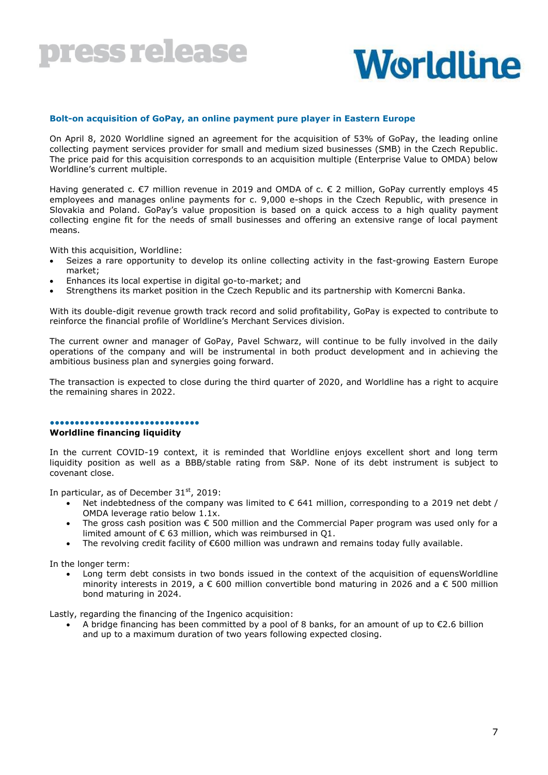# **Worldline**

#### **Bolt-on acquisition of GoPay, an online payment pure player in Eastern Europe**

On April 8, 2020 Worldline signed an agreement for the acquisition of 53% of GoPay, the leading online collecting payment services provider for small and medium sized businesses (SMB) in the Czech Republic. The price paid for this acquisition corresponds to an acquisition multiple (Enterprise Value to OMDA) below Worldline's current multiple.

Having generated c. €7 million revenue in 2019 and OMDA of c. € 2 million, GoPay currently employs 45 employees and manages online payments for c. 9,000 e-shops in the Czech Republic, with presence in Slovakia and Poland. GoPay's value proposition is based on a quick access to a high quality payment collecting engine fit for the needs of small businesses and offering an extensive range of local payment means.

With this acquisition, Worldline:

- Seizes a rare opportunity to develop its online collecting activity in the fast-growing Eastern Europe market;
- Enhances its local expertise in digital go-to-market; and
- Strengthens its market position in the Czech Republic and its partnership with Komercni Banka.

With its double-digit revenue growth track record and solid profitability, GoPay is expected to contribute to reinforce the financial profile of Worldline's Merchant Services division.

The current owner and manager of GoPay, Pavel Schwarz, will continue to be fully involved in the daily operations of the company and will be instrumental in both product development and in achieving the ambitious business plan and synergies going forward.

The transaction is expected to close during the third quarter of 2020, and Worldline has a right to acquire the remaining shares in 2022.

### ●●●●●●●●●●●●●●●●●●●●●●●●●●●●●●

### **Worldline financing liquidity**

In the current COVID-19 context, it is reminded that Worldline enjoys excellent short and long term liquidity position as well as a BBB/stable rating from S&P. None of its debt instrument is subject to covenant close.

In particular, as of December  $31<sup>st</sup>$ , 2019:

- Net indebtedness of the company was limited to  $\epsilon$  641 million, corresponding to a 2019 net debt / OMDA leverage ratio below 1.1x.
- The gross cash position was € 500 million and the Commercial Paper program was used only for a limited amount of € 63 million, which was reimbursed in Q1.
- The revolving credit facility of €600 million was undrawn and remains today fully available.

In the longer term:

 Long term debt consists in two bonds issued in the context of the acquisition of equensWorldline minority interests in 2019, a  $\epsilon$  600 million convertible bond maturing in 2026 and a  $\epsilon$  500 million bond maturing in 2024.

Lastly, regarding the financing of the Ingenico acquisition:

 A bridge financing has been committed by a pool of 8 banks, for an amount of up to €2.6 billion and up to a maximum duration of two years following expected closing.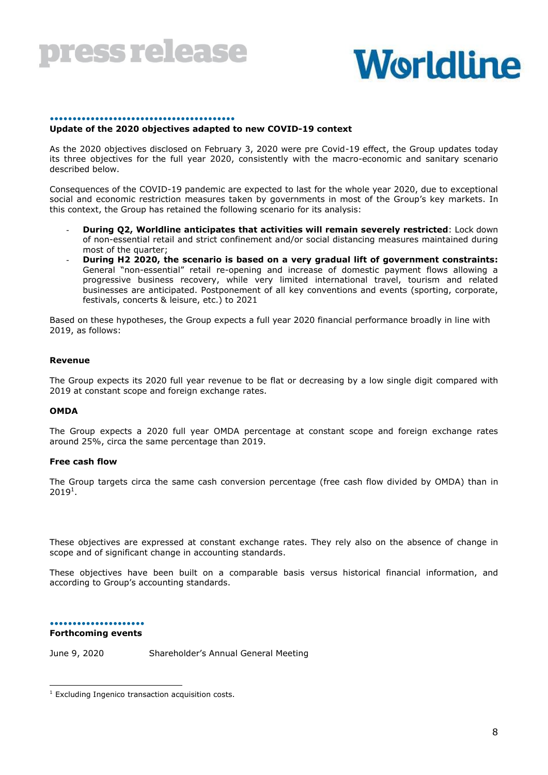



#### •••••••••••••••••••••••••••••••••••••••••

#### **Update of the 2020 objectives adapted to new COVID-19 context**

As the 2020 objectives disclosed on February 3, 2020 were pre Covid-19 effect, the Group updates today its three objectives for the full year 2020, consistently with the macro-economic and sanitary scenario described below.

Consequences of the COVID-19 pandemic are expected to last for the whole year 2020, due to exceptional social and economic restriction measures taken by governments in most of the Group's key markets. In this context, the Group has retained the following scenario for its analysis:

- **During Q2, Worldline anticipates that activities will remain severely restricted**: Lock down of non-essential retail and strict confinement and/or social distancing measures maintained during most of the quarter;
- **During H2 2020, the scenario is based on a very gradual lift of government constraints:**  General "non-essential" retail re-opening and increase of domestic payment flows allowing a progressive business recovery, while very limited international travel, tourism and related businesses are anticipated. Postponement of all key conventions and events (sporting, corporate, festivals, concerts & leisure, etc.) to 2021

Based on these hypotheses, the Group expects a full year 2020 financial performance broadly in line with 2019, as follows:

#### **Revenue**

The Group expects its 2020 full year revenue to be flat or decreasing by a low single digit compared with 2019 at constant scope and foreign exchange rates.

#### **OMDA**

The Group expects a 2020 full year OMDA percentage at constant scope and foreign exchange rates around 25%, circa the same percentage than 2019.

#### **Free cash flow**

The Group targets circa the same cash conversion percentage (free cash flow divided by OMDA) than in  $2019<sup>1</sup>$ .

These objectives are expressed at constant exchange rates. They rely also on the absence of change in scope and of significant change in accounting standards.

These objectives have been built on a comparable basis versus historical financial information, and according to Group's accounting standards.

••••••••••••••••••••• **Forthcoming events**

-

June 9, 2020 Shareholder's Annual General Meeting

 $1$  Excluding Ingenico transaction acquisition costs.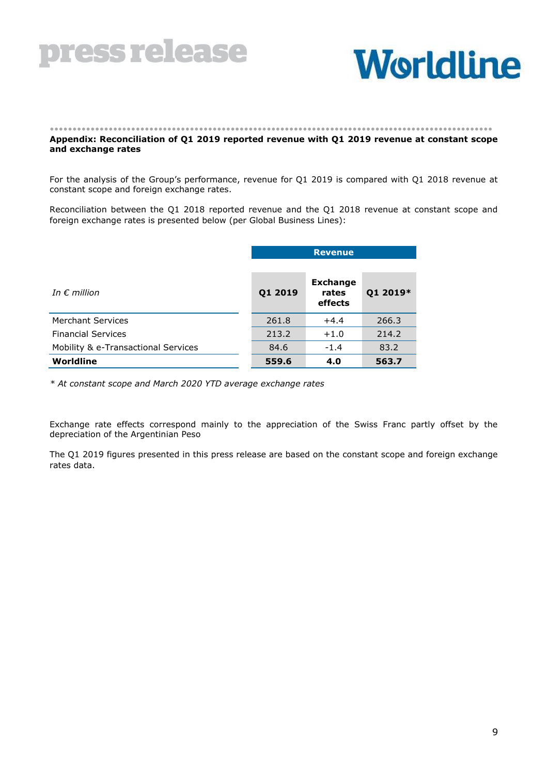

# **Worldline**

#### •••••••••••••••••••••••••••••••••••••••••••••••••••••••••••••••••••••••••••••••••••••••••••••••••• **Appendix: Reconciliation of Q1 2019 reported revenue with Q1 2019 revenue at constant scope and exchange rates**

For the analysis of the Group's performance, revenue for Q1 2019 is compared with Q1 2018 revenue at constant scope and foreign exchange rates.

Reconciliation between the Q1 2018 reported revenue and the Q1 2018 revenue at constant scope and foreign exchange rates is presented below (per Global Business Lines):

|                                     | <b>Revenue</b> |                                     |          |  |
|-------------------------------------|----------------|-------------------------------------|----------|--|
|                                     |                |                                     |          |  |
| In $\epsilon$ million               | Q1 2019        | <b>Exchange</b><br>rates<br>effects | Q1 2019* |  |
| <b>Merchant Services</b>            | 261.8          | $+4.4$                              | 266.3    |  |
| <b>Financial Services</b>           | 213.2          | $+1.0$                              | 214.2    |  |
| Mobility & e-Transactional Services | 84.6           | $-1.4$                              | 83.2     |  |
| Worldline                           | 559.6          | 4.0                                 | 563.7    |  |

*\* At constant scope and March 2020 YTD average exchange rates*

Exchange rate effects correspond mainly to the appreciation of the Swiss Franc partly offset by the depreciation of the Argentinian Peso

The Q1 2019 figures presented in this press release are based on the constant scope and foreign exchange rates data.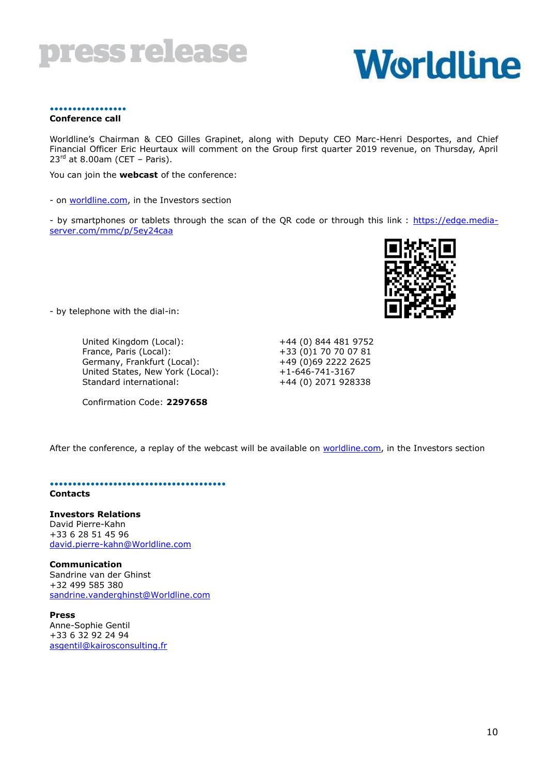

#### ••••••••••••••••• **Conference call**

Worldline's Chairman & CEO Gilles Grapinet, along with Deputy CEO Marc-Henri Desportes, and Chief Financial Officer Eric Heurtaux will comment on the Group first quarter 2019 revenue, on Thursday, April  $23<sup>rd</sup>$  at 8.00am (CET – Paris).

You can join the **webcast** of the conference:

- on [worldline.com,](http://www.worldline.com/) in the Investors section

- by smartphones or tablets through the scan of the QR code or through this link : [https://edge.media](https://edge.media-server.com/mmc/p/5ey24caa)[server.com/mmc/p/5ey24caa](https://edge.media-server.com/mmc/p/5ey24caa)

- by telephone with the dial-in:

United Kingdom (Local):  $+44$  (0) 844 481 9752<br>France, Paris (Local):  $+33$  (0)1 70 70 07 81 Germany, Frankfurt (Local): United States, New York (Local): +1-646-741-3167 Standard international: +44 (0) 2071 928338

Confirmation Code: **2297658**

+33 (0)1 70 70 07 81<br>+49 (0)69 2222 2625



••••••••••••••••••••••••••••••••••••••• **Contacts**

#### **Investors Relations** David Pierre-Kahn +33 6 28 51 45 96 [david.pierre-kahn@Worldline.com](mailto:david.pierre-kahn@worldline.com)

**Communication** Sandrine van der Ghinst +32 499 585 380 [sandrine.vanderghinst@Worldline.com](mailto:sandrine.vanderghinst@worldline.com)

**Press** Anne-Sophie Gentil +33 6 32 92 24 94 [asgentil@kairosconsulting.fr](mailto:asgentil@kairosconsulting.fr)